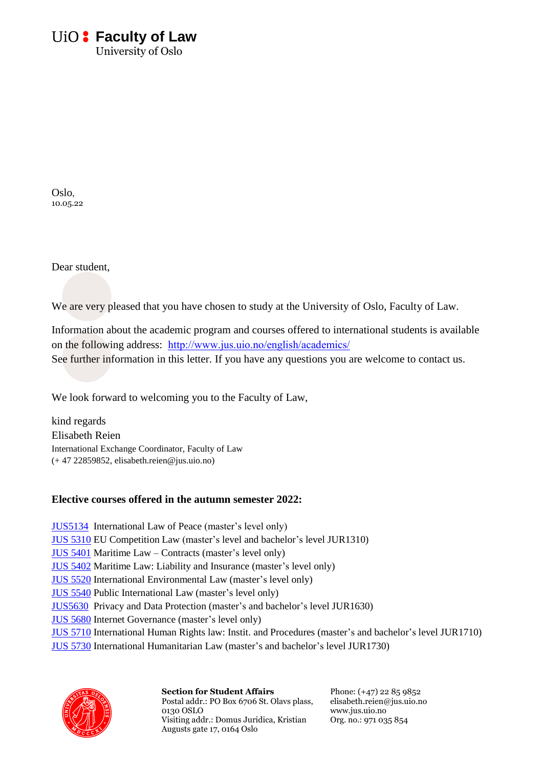# *<u>UiO:* Faculty of Law</u>

University of Oslo

Oslo, 10.05.22

Dear student,

We are very pleased that you have chosen to study at the University of Oslo, Faculty of Law.

Information about the academic program and courses offered to international students is available on the following address: <http://www.jus.uio.no/english/academics/> See further information in this letter. If you have any questions you are welcome to contact us.

We look forward to welcoming you to the Faculty of Law,

kind regards Elisabeth Reien International Exchange Coordinator, Faculty of Law (+ 47 22859852, elisabeth.reien@jus.uio.no)

# **Elective courses offered in the autumn semester 2022:**

[JUS5134](https://www.uio.no/studier/emner/jus/humanrights/JUS5134/) International Law of Peace (master's level only) [JUS 5310](http://www.uio.no/studier/emner/jus/jus/JUS5310/index.html) EU Competition Law (master's level and bachelor's level JUR1310) [JUS 5401](http://www.uio.no/studier/emner/jus/jus/JUS5401/) Maritime Law – Contracts (master's level only) [JUS 5402](http://www.uio.no/studier/emner/jus/jus/JUS5402/) Maritime Law: Liability and Insurance (master's level only) [JUS 5520](http://www.uio.no/studier/emner/jus/jus/JUS5520/) International Environmental Law (master's level only) [JUS 5540](http://www.uio.no/studier/emner/jus/jus/JUS5540/) Public International Law (master's level only) [JUS5630](https://www.uio.no/studier/emner/jus/jus/JUS5630/index.html) Privacy and Data Protection (master's and bachelor's level JUR1630) [JUS 5680](http://www.uio.no/studier/emner/jus/jus/JUS5680/) Internet Governance (master's level only) [JUS 5710](http://www.uio.no/studier/emner/jus/jus/JUS5710/) International Human Rights law: Instit. and Procedures (master's and bachelor's level JUR1710) [JUS 5730](http://www.uio.no/studier/emner/jus/jus/JUS5730/) International Humanitarian Law (master's and bachelor's level JUR1730)



**Section for Student Affairs** Postal addr.: PO Box 6706 St. Olavs plass, 0130 OSLO Visiting addr.: Domus Juridica, Kristian Augusts gate 17, 0164 Oslo

Phone: (+47) 22 85 9852 elisabeth.reien@jus.uio.no www.jus.uio.no Org. no.: 971 035 854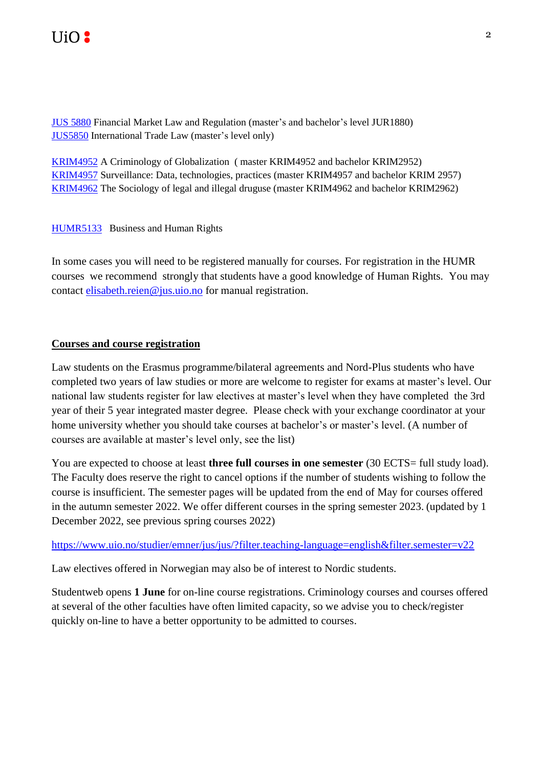[JUS 5880](http://www.uio.no/studier/emner/jus/jus/JUS5850/) Financial Market Law and Regulation (master's and bachelor's level JUR1880) [JUS5850](https://www.uio.no/studier/emner/jus/jus/JUS5850/h18/index.html) International Trade Law (master's level only)

[KRIM4952](https://www.uio.no/studier/emner/jus/ikrs/KRIM4952/) A Criminology of Globalization ( master KRIM4952 and bachelor KRIM2952) [KRIM4957](http://www.uio.no/studier/emner/jus/ikrs/KRIM4957/) Surveillance: Data, technologies, practices (master KRIM4957 and bachelor KRIM 2957) [KRIM4962](https://www.uio.no/studier/emner/jus/ikrs/KRIM4962/index.html) The Sociology of legal and illegal druguse (master KRIM4962 and bachelor KRIM2962)

[HUMR5133](http://www.uio.no/studier/emner/jus/humanrights/HUMR5133/) Business and Human Rights

In some cases you will need to be registered manually for courses. For registration in the HUMR courses we recommend strongly that students have a good knowledge of Human Rights. You may contact [elisabeth.reien@jus.uio.no](elisabeth.reien@jus.uio.no%20) for manual registration.

# **Courses and course registration**

Law students on the Erasmus programme/bilateral agreements and Nord-Plus students who have completed two years of law studies or more are welcome to register for exams at master's level. Our national law students register for law electives at master's level when they have completed the 3rd year of their 5 year integrated master degree. Please check with your exchange coordinator at your home university whether you should take courses at bachelor's or master's level. (A number of courses are available at master's level only, see the list)

You are expected to choose at least **three full courses in one semester** (30 ECTS= full study load). The Faculty does reserve the right to cancel options if the number of students wishing to follow the course is insufficient. The semester pages will be updated from the end of May for courses offered in the autumn semester 2022. We offer different courses in the spring semester 2023. (updated by 1 December 2022, see previous spring courses 2022)

<https://www.uio.no/studier/emner/jus/jus/?filter.teaching-language=english&filter.semester=v22>

Law electives offered in Norwegian may also be of interest to Nordic students.

Studentweb opens **1 June** for on-line course registrations. Criminology courses and courses offered at several of the other faculties have often limited capacity, so we advise you to check/register quickly on-line to have a better opportunity to be admitted to courses.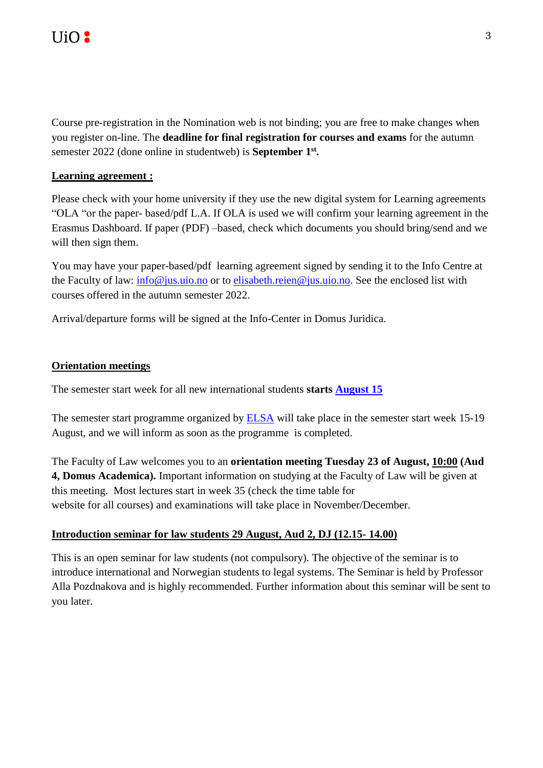

Course pre-registration in the Nomination web is not binding; you are free to make changes when you register on-line. The **deadline for final registration for courses and exams** for the autumn semester 2022 (done online in studentweb) is **September 1 st .**

## **Learning agreement :**

Please check with your home university if they use the new digital system for Learning agreements "OLA "or the paper- based/pdf L.A. If OLA is used we will confirm your learning agreement in the Erasmus Dashboard. If paper (PDF) –based, check which documents you should bring/send and we will then sign them.

You may have your paper-based/pdf learning agreement signed by sending it to the Info Centre at the Faculty of law: [info@jus.uio.no](mailto:info@jus.uio.no) or to [elisabeth.reien@jus.uio.no.](mailto:elisabeth.reien@jus.uio.no) See the enclosed list with courses offered in the autumn semester 2022.

Arrival/departure forms will be signed at the Info-Center in Domus Juridica.

### **Orientation meetings**

The semester start week for all new international students **starts [August 15](https://www.uio.no/english/studies/start-of-studies/)**

The semester start programme organized by [ELSA](https://elsa.no/english/) will take place in the semester start week 15-19 August, and we will inform as soon as the programme is completed.

The Faculty of Law welcomes you to an **orientation meeting Tuesday 23 of August, 10:00 (Aud 4, Domus Academica).** Important information on studying at the Faculty of Law will be given at this meeting. Most lectures start in week 35 (check the time table for website for all courses) and examinations will take place in November/December.

#### **Introduction seminar for law students 29 August, Aud 2, DJ (12.15- 14.00)**

This is an open seminar for law students (not compulsory). The objective of the seminar is to introduce international and Norwegian students to legal systems. The Seminar is held by Professor Alla Pozdnakova and is highly recommended. Further information about this seminar will be sent to you later.